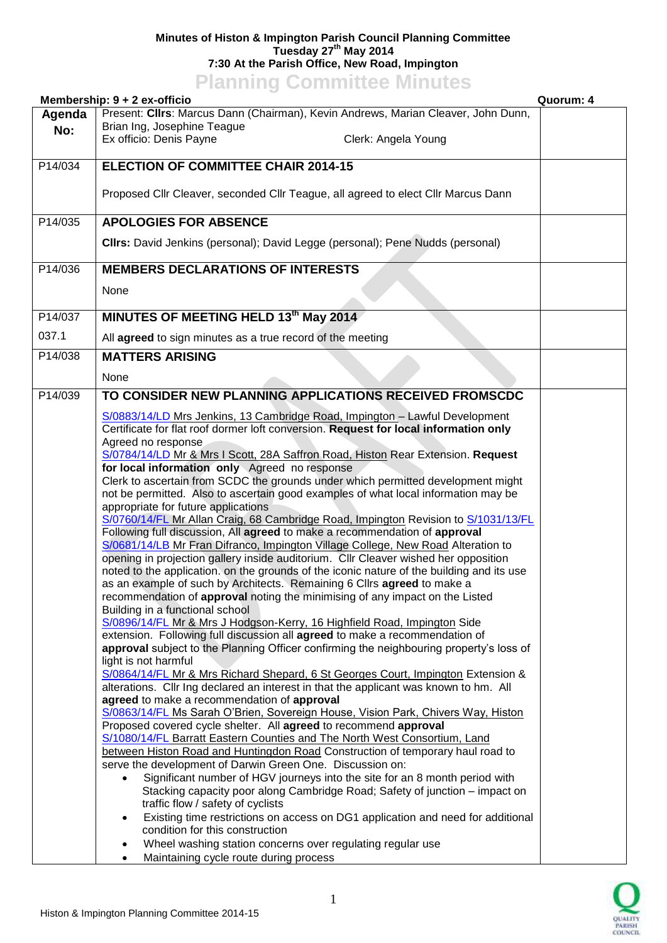## **Minutes of Histon & Impington Parish Council Planning Committee Tuesday 27th May 2014 7:30 At the Parish Office, New Road, Impington**

**Planning Committee Minutes**

| Membership: 9 + 2 ex-officio<br>Quorum: 4 |                                                                                                                                                                           |  |
|-------------------------------------------|---------------------------------------------------------------------------------------------------------------------------------------------------------------------------|--|
| Agenda                                    | Present: Cllrs: Marcus Dann (Chairman), Kevin Andrews, Marian Cleaver, John Dunn,                                                                                         |  |
| No:                                       | Brian Ing, Josephine Teague                                                                                                                                               |  |
|                                           | Ex officio: Denis Payne<br>Clerk: Angela Young                                                                                                                            |  |
| P14/034                                   | <b>ELECTION OF COMMITTEE CHAIR 2014-15</b>                                                                                                                                |  |
|                                           |                                                                                                                                                                           |  |
|                                           | Proposed Cllr Cleaver, seconded Cllr Teague, all agreed to elect Cllr Marcus Dann                                                                                         |  |
|                                           |                                                                                                                                                                           |  |
| P14/035                                   | <b>APOLOGIES FOR ABSENCE</b>                                                                                                                                              |  |
|                                           | Clirs: David Jenkins (personal); David Legge (personal); Pene Nudds (personal)                                                                                            |  |
|                                           |                                                                                                                                                                           |  |
| P14/036                                   | <b>MEMBERS DECLARATIONS OF INTERESTS</b>                                                                                                                                  |  |
|                                           |                                                                                                                                                                           |  |
|                                           | None                                                                                                                                                                      |  |
| P14/037                                   | MINUTES OF MEETING HELD 13th May 2014                                                                                                                                     |  |
| 037.1                                     |                                                                                                                                                                           |  |
|                                           | All agreed to sign minutes as a true record of the meeting                                                                                                                |  |
| P14/038                                   | <b>MATTERS ARISING</b>                                                                                                                                                    |  |
|                                           | None                                                                                                                                                                      |  |
| P14/039                                   | TO CONSIDER NEW PLANNING APPLICATIONS RECEIVED FROMSCDC                                                                                                                   |  |
|                                           |                                                                                                                                                                           |  |
|                                           | S/0883/14/LD Mrs Jenkins, 13 Cambridge Road, Impington - Lawful Development<br>Certificate for flat roof dormer loft conversion. Request for local information only       |  |
|                                           | Agreed no response                                                                                                                                                        |  |
|                                           | S/0784/14/LD Mr & Mrs I Scott, 28A Saffron Road, Histon Rear Extension. Request                                                                                           |  |
|                                           | for local information only Agreed no response                                                                                                                             |  |
|                                           | Clerk to ascertain from SCDC the grounds under which permitted development might                                                                                          |  |
|                                           | not be permitted. Also to ascertain good examples of what local information may be                                                                                        |  |
|                                           | appropriate for future applications<br>S/0760/14/FL Mr Allan Craig, 68 Cambridge Road, Impington Revision to S/1031/13/FL                                                 |  |
|                                           | Following full discussion, All agreed to make a recommendation of approval                                                                                                |  |
|                                           | S/0681/14/LB Mr Fran Difranco, Impington Village College, New Road Alteration to                                                                                          |  |
|                                           | opening in projection gallery inside auditorium. Cllr Cleaver wished her opposition                                                                                       |  |
|                                           | noted to the application. on the grounds of the iconic nature of the building and its use                                                                                 |  |
|                                           | as an example of such by Architects. Remaining 6 Cllrs agreed to make a                                                                                                   |  |
|                                           | recommendation of approval noting the minimising of any impact on the Listed<br>Building in a functional school                                                           |  |
|                                           | S/0896/14/FL Mr & Mrs J Hodgson-Kerry, 16 Highfield Road, Impington Side                                                                                                  |  |
|                                           | extension. Following full discussion all agreed to make a recommendation of                                                                                               |  |
|                                           | approval subject to the Planning Officer confirming the neighbouring property's loss of                                                                                   |  |
|                                           | light is not harmful                                                                                                                                                      |  |
|                                           | S/0864/14/FL Mr & Mrs Richard Shepard, 6 St Georges Court, Impington Extension &<br>alterations. Cllr Ing declared an interest in that the applicant was known to hm. All |  |
|                                           | agreed to make a recommendation of approval                                                                                                                               |  |
|                                           | S/0863/14/FL Ms Sarah O'Brien, Sovereign House, Vision Park, Chivers Way, Histon                                                                                          |  |
|                                           | Proposed covered cycle shelter. All agreed to recommend approval                                                                                                          |  |
|                                           | S/1080/14/FL Barratt Eastern Counties and The North West Consortium, Land                                                                                                 |  |
|                                           | between Histon Road and Huntingdon Road Construction of temporary haul road to<br>serve the development of Darwin Green One. Discussion on:                               |  |
|                                           | Significant number of HGV journeys into the site for an 8 month period with                                                                                               |  |
|                                           | Stacking capacity poor along Cambridge Road; Safety of junction - impact on                                                                                               |  |
|                                           | traffic flow / safety of cyclists                                                                                                                                         |  |
|                                           | Existing time restrictions on access on DG1 application and need for additional<br>$\bullet$                                                                              |  |
|                                           | condition for this construction                                                                                                                                           |  |
|                                           | Wheel washing station concerns over regulating regular use                                                                                                                |  |
|                                           | Maintaining cycle route during process                                                                                                                                    |  |